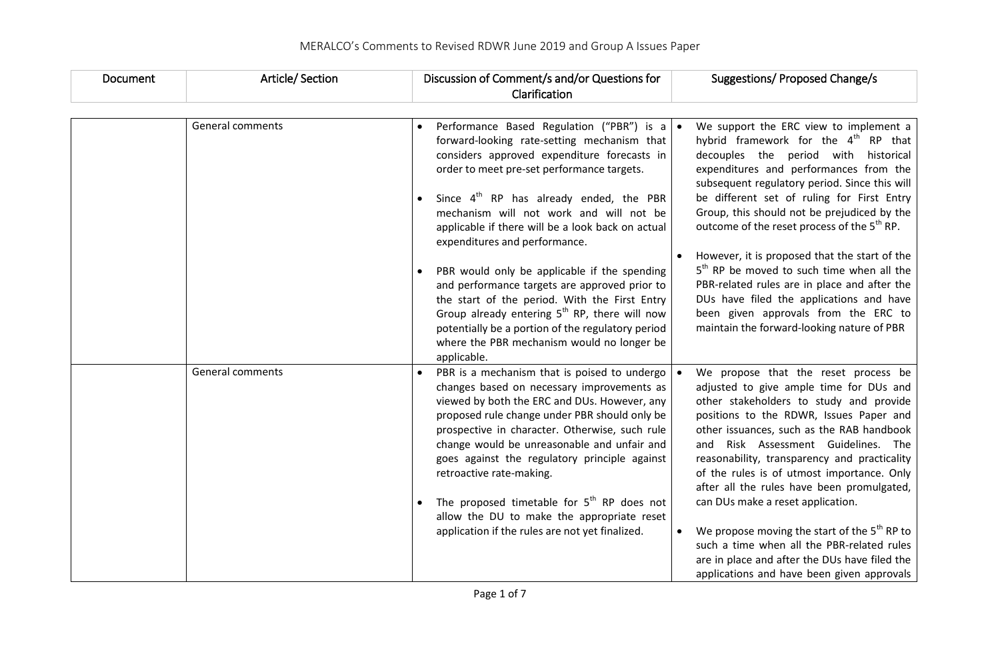| Document | Article/Section  | Discussion of Comment/s and/or Questions for<br>Suggestions/ Proposed Change/s<br>Clarification                                                                                                                                                                                                                                                                                                                                                                                                                                                                                                                                                                                                                                                                                    |
|----------|------------------|------------------------------------------------------------------------------------------------------------------------------------------------------------------------------------------------------------------------------------------------------------------------------------------------------------------------------------------------------------------------------------------------------------------------------------------------------------------------------------------------------------------------------------------------------------------------------------------------------------------------------------------------------------------------------------------------------------------------------------------------------------------------------------|
|          | General comments | Performance Based Regulation ("PBR") is a $\bullet$<br>We support the ERC view to implement a<br>$\bullet$                                                                                                                                                                                                                                                                                                                                                                                                                                                                                                                                                                                                                                                                         |
|          |                  | hybrid framework for the 4 <sup>th</sup> RP that<br>forward-looking rate-setting mechanism that<br>considers approved expenditure forecasts in<br>decouples the period with historical<br>order to meet pre-set performance targets.<br>expenditures and performances from the<br>subsequent regulatory period. Since this will                                                                                                                                                                                                                                                                                                                                                                                                                                                    |
|          |                  | Since $4th$ RP has already ended, the PBR<br>be different set of ruling for First Entry<br>Group, this should not be prejudiced by the<br>mechanism will not work and will not be<br>outcome of the reset process of the 5 <sup>th</sup> RP.<br>applicable if there will be a look back on actual<br>expenditures and performance.                                                                                                                                                                                                                                                                                                                                                                                                                                                 |
|          |                  | However, it is proposed that the start of the<br>5 <sup>th</sup> RP be moved to such time when all the<br>PBR would only be applicable if the spending<br>PBR-related rules are in place and after the<br>and performance targets are approved prior to<br>DUs have filed the applications and have<br>the start of the period. With the First Entry<br>Group already entering $5^{th}$ RP, there will now<br>been given approvals from the ERC to<br>maintain the forward-looking nature of PBR<br>potentially be a portion of the regulatory period<br>where the PBR mechanism would no longer be<br>applicable.                                                                                                                                                                 |
|          | General comments | PBR is a mechanism that is poised to undergo<br>We propose that the reset process be<br>changes based on necessary improvements as<br>adjusted to give ample time for DUs and<br>viewed by both the ERC and DUs. However, any<br>other stakeholders to study and provide<br>proposed rule change under PBR should only be<br>positions to the RDWR, Issues Paper and<br>prospective in character. Otherwise, such rule<br>other issuances, such as the RAB handbook<br>change would be unreasonable and unfair and<br>and Risk Assessment Guidelines. The<br>goes against the regulatory principle against<br>reasonability, transparency and practicality<br>retroactive rate-making.<br>of the rules is of utmost importance. Only<br>after all the rules have been promulgated, |
|          |                  | The proposed timetable for $5th$ RP does not<br>can DUs make a reset application.<br>allow the DU to make the appropriate reset<br>We propose moving the start of the $5th$ RP to<br>application if the rules are not yet finalized.<br>such a time when all the PBR-related rules<br>are in place and after the DUs have filed the<br>applications and have been given approvals                                                                                                                                                                                                                                                                                                                                                                                                  |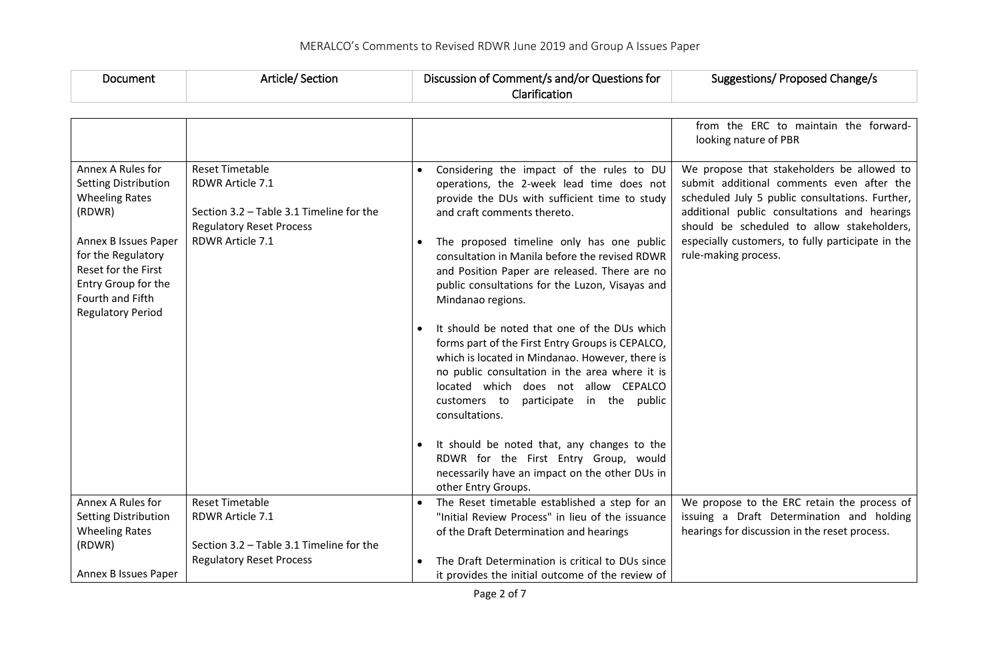| Document                                                                                                                                                                                                                        | Article/Section                                                                                                                               | Discussion of Comment/s and/or Questions for<br>Clarification                                                                                                                                                                                                                                                                                                                                                                                                                                                                                                                                                                                                                                                                                                              | Suggestions/ Proposed Change/s                                                                                                                                                                                                                                                                                        |
|---------------------------------------------------------------------------------------------------------------------------------------------------------------------------------------------------------------------------------|-----------------------------------------------------------------------------------------------------------------------------------------------|----------------------------------------------------------------------------------------------------------------------------------------------------------------------------------------------------------------------------------------------------------------------------------------------------------------------------------------------------------------------------------------------------------------------------------------------------------------------------------------------------------------------------------------------------------------------------------------------------------------------------------------------------------------------------------------------------------------------------------------------------------------------------|-----------------------------------------------------------------------------------------------------------------------------------------------------------------------------------------------------------------------------------------------------------------------------------------------------------------------|
|                                                                                                                                                                                                                                 |                                                                                                                                               |                                                                                                                                                                                                                                                                                                                                                                                                                                                                                                                                                                                                                                                                                                                                                                            |                                                                                                                                                                                                                                                                                                                       |
|                                                                                                                                                                                                                                 |                                                                                                                                               |                                                                                                                                                                                                                                                                                                                                                                                                                                                                                                                                                                                                                                                                                                                                                                            | from the ERC to maintain the forward-<br>looking nature of PBR                                                                                                                                                                                                                                                        |
| Annex A Rules for<br><b>Setting Distribution</b><br><b>Wheeling Rates</b><br>(RDWR)<br>Annex B Issues Paper<br>for the Regulatory<br>Reset for the First<br>Entry Group for the<br>Fourth and Fifth<br><b>Regulatory Period</b> | <b>Reset Timetable</b><br>RDWR Article 7.1<br>Section 3.2 - Table 3.1 Timeline for the<br><b>Regulatory Reset Process</b><br>RDWR Article 7.1 | Considering the impact of the rules to DU<br>operations, the 2-week lead time does not<br>provide the DUs with sufficient time to study<br>and craft comments thereto.<br>The proposed timeline only has one public<br>$\bullet$<br>consultation in Manila before the revised RDWR<br>and Position Paper are released. There are no<br>public consultations for the Luzon, Visayas and<br>Mindanao regions.<br>It should be noted that one of the DUs which<br>forms part of the First Entry Groups is CEPALCO,<br>which is located in Mindanao. However, there is<br>no public consultation in the area where it is<br>located which does not allow CEPALCO<br>customers to<br>participate in the public<br>consultations.<br>It should be noted that, any changes to the | We propose that stakeholders be allowed to<br>submit additional comments even after the<br>scheduled July 5 public consultations. Further,<br>additional public consultations and hearings<br>should be scheduled to allow stakeholders,<br>especially customers, to fully participate in the<br>rule-making process. |
|                                                                                                                                                                                                                                 |                                                                                                                                               | RDWR for the First Entry Group, would<br>necessarily have an impact on the other DUs in<br>other Entry Groups.                                                                                                                                                                                                                                                                                                                                                                                                                                                                                                                                                                                                                                                             |                                                                                                                                                                                                                                                                                                                       |
| Annex A Rules for<br><b>Setting Distribution</b><br><b>Wheeling Rates</b><br>(RDWR)                                                                                                                                             | <b>Reset Timetable</b><br>RDWR Article 7.1<br>Section 3.2 - Table 3.1 Timeline for the                                                        | The Reset timetable established a step for an<br>"Initial Review Process" in lieu of the issuance<br>of the Draft Determination and hearings                                                                                                                                                                                                                                                                                                                                                                                                                                                                                                                                                                                                                               | We propose to the ERC retain the process of<br>issuing a Draft Determination and holding<br>hearings for discussion in the reset process.                                                                                                                                                                             |
| Annex B Issues Paper                                                                                                                                                                                                            | <b>Regulatory Reset Process</b>                                                                                                               | The Draft Determination is critical to DUs since<br>it provides the initial outcome of the review of                                                                                                                                                                                                                                                                                                                                                                                                                                                                                                                                                                                                                                                                       |                                                                                                                                                                                                                                                                                                                       |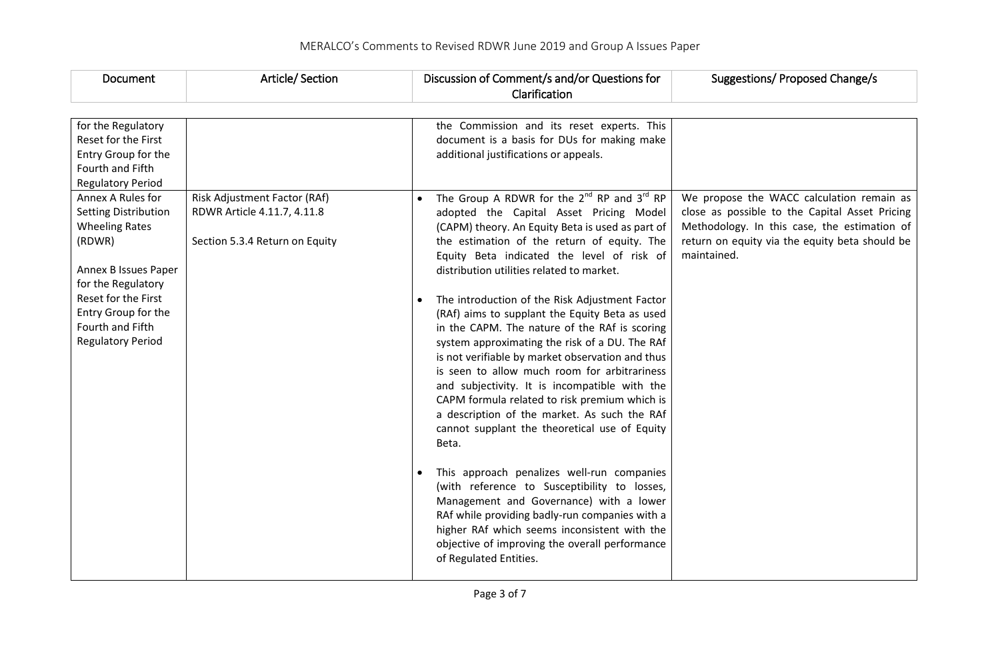| Document                                                                                                                                                                                                                        | Article/Section                                                                               | Discussion of Comment/s and/or Questions for<br>Clarification                                                                                                                                                                                                                                                                                                                                                                                                                                                                                                                                                                                                                                                                                                                                                                                                      | Suggestions/ Proposed Change/s                                                                                                                                                                               |
|---------------------------------------------------------------------------------------------------------------------------------------------------------------------------------------------------------------------------------|-----------------------------------------------------------------------------------------------|--------------------------------------------------------------------------------------------------------------------------------------------------------------------------------------------------------------------------------------------------------------------------------------------------------------------------------------------------------------------------------------------------------------------------------------------------------------------------------------------------------------------------------------------------------------------------------------------------------------------------------------------------------------------------------------------------------------------------------------------------------------------------------------------------------------------------------------------------------------------|--------------------------------------------------------------------------------------------------------------------------------------------------------------------------------------------------------------|
| for the Regulatory<br>Reset for the First<br>Entry Group for the<br>Fourth and Fifth<br><b>Regulatory Period</b>                                                                                                                |                                                                                               | the Commission and its reset experts. This<br>document is a basis for DUs for making make<br>additional justifications or appeals.                                                                                                                                                                                                                                                                                                                                                                                                                                                                                                                                                                                                                                                                                                                                 |                                                                                                                                                                                                              |
| Annex A Rules for<br><b>Setting Distribution</b><br><b>Wheeling Rates</b><br>(RDWR)<br>Annex B Issues Paper<br>for the Regulatory<br>Reset for the First<br>Entry Group for the<br>Fourth and Fifth<br><b>Regulatory Period</b> | Risk Adjustment Factor (RAf)<br>RDWR Article 4.11.7, 4.11.8<br>Section 5.3.4 Return on Equity | The Group A RDWR for the $2^{nd}$ RP and $3^{rd}$ RP<br>adopted the Capital Asset Pricing Model<br>(CAPM) theory. An Equity Beta is used as part of<br>the estimation of the return of equity. The<br>Equity Beta indicated the level of risk of<br>distribution utilities related to market.<br>The introduction of the Risk Adjustment Factor<br>(RAf) aims to supplant the Equity Beta as used<br>in the CAPM. The nature of the RAf is scoring<br>system approximating the risk of a DU. The RAf<br>is not verifiable by market observation and thus<br>is seen to allow much room for arbitrariness<br>and subjectivity. It is incompatible with the<br>CAPM formula related to risk premium which is<br>a description of the market. As such the RAf<br>cannot supplant the theoretical use of Equity<br>Beta.<br>This approach penalizes well-run companies | We propose the WACC calculation remain as<br>close as possible to the Capital Asset Pricing<br>Methodology. In this case, the estimation of<br>return on equity via the equity beta should be<br>maintained. |
|                                                                                                                                                                                                                                 |                                                                                               | (with reference to Susceptibility to losses,<br>Management and Governance) with a lower<br>RAf while providing badly-run companies with a<br>higher RAf which seems inconsistent with the<br>objective of improving the overall performance<br>of Regulated Entities.                                                                                                                                                                                                                                                                                                                                                                                                                                                                                                                                                                                              |                                                                                                                                                                                                              |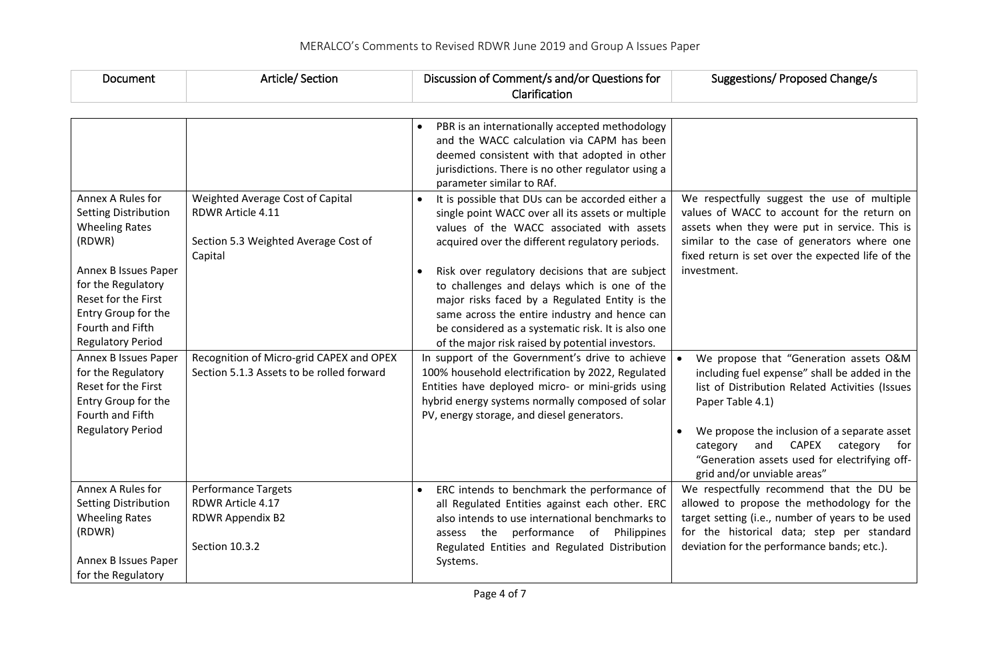| Document                                                                                                                                                                                                                        | Article/Section                                                                                                 | Discussion of Comment/s and/or Questions for<br>Clarification                                                                                                                                                                                                                                                                                                                                                                                                                                                         | Suggestions/ Proposed Change/s                                                                                                                                                                                                                                                                                                             |
|---------------------------------------------------------------------------------------------------------------------------------------------------------------------------------------------------------------------------------|-----------------------------------------------------------------------------------------------------------------|-----------------------------------------------------------------------------------------------------------------------------------------------------------------------------------------------------------------------------------------------------------------------------------------------------------------------------------------------------------------------------------------------------------------------------------------------------------------------------------------------------------------------|--------------------------------------------------------------------------------------------------------------------------------------------------------------------------------------------------------------------------------------------------------------------------------------------------------------------------------------------|
|                                                                                                                                                                                                                                 |                                                                                                                 | PBR is an internationally accepted methodology<br>and the WACC calculation via CAPM has been<br>deemed consistent with that adopted in other<br>jurisdictions. There is no other regulator using a<br>parameter similar to RAf.                                                                                                                                                                                                                                                                                       |                                                                                                                                                                                                                                                                                                                                            |
| Annex A Rules for<br><b>Setting Distribution</b><br><b>Wheeling Rates</b><br>(RDWR)<br>Annex B Issues Paper<br>for the Regulatory<br>Reset for the First<br>Entry Group for the<br>Fourth and Fifth<br><b>Regulatory Period</b> | Weighted Average Cost of Capital<br><b>RDWR Article 4.11</b><br>Section 5.3 Weighted Average Cost of<br>Capital | It is possible that DUs can be accorded either a<br>single point WACC over all its assets or multiple<br>values of the WACC associated with assets<br>acquired over the different regulatory periods.<br>Risk over regulatory decisions that are subject<br>to challenges and delays which is one of the<br>major risks faced by a Regulated Entity is the<br>same across the entire industry and hence can<br>be considered as a systematic risk. It is also one<br>of the major risk raised by potential investors. | We respectfully suggest the use of multiple<br>values of WACC to account for the return on<br>assets when they were put in service. This is<br>similar to the case of generators where one<br>fixed return is set over the expected life of the<br>investment.                                                                             |
| Annex B Issues Paper<br>for the Regulatory<br>Reset for the First<br>Entry Group for the<br>Fourth and Fifth<br><b>Regulatory Period</b>                                                                                        | Recognition of Micro-grid CAPEX and OPEX<br>Section 5.1.3 Assets to be rolled forward                           | In support of the Government's drive to achieve<br>100% household electrification by 2022, Regulated<br>Entities have deployed micro- or mini-grids using<br>hybrid energy systems normally composed of solar<br>PV, energy storage, and diesel generators.                                                                                                                                                                                                                                                           | We propose that "Generation assets O&M<br>including fuel expense" shall be added in the<br>list of Distribution Related Activities (Issues<br>Paper Table 4.1)<br>We propose the inclusion of a separate asset<br>CAPEX category<br>and<br>category<br>for<br>"Generation assets used for electrifying off-<br>grid and/or unviable areas" |
| Annex A Rules for<br><b>Setting Distribution</b><br><b>Wheeling Rates</b><br>(RDWR)<br>Annex B Issues Paper<br>for the Regulatory                                                                                               | <b>Performance Targets</b><br>RDWR Article 4.17<br>RDWR Appendix B2<br>Section 10.3.2                           | ERC intends to benchmark the performance of<br>all Regulated Entities against each other. ERC<br>also intends to use international benchmarks to<br>assess the performance of<br>Philippines<br>Regulated Entities and Regulated Distribution<br>Systems.                                                                                                                                                                                                                                                             | We respectfully recommend that the DU be<br>allowed to propose the methodology for the<br>target setting (i.e., number of years to be used<br>for the historical data; step per standard<br>deviation for the performance bands; etc.).                                                                                                    |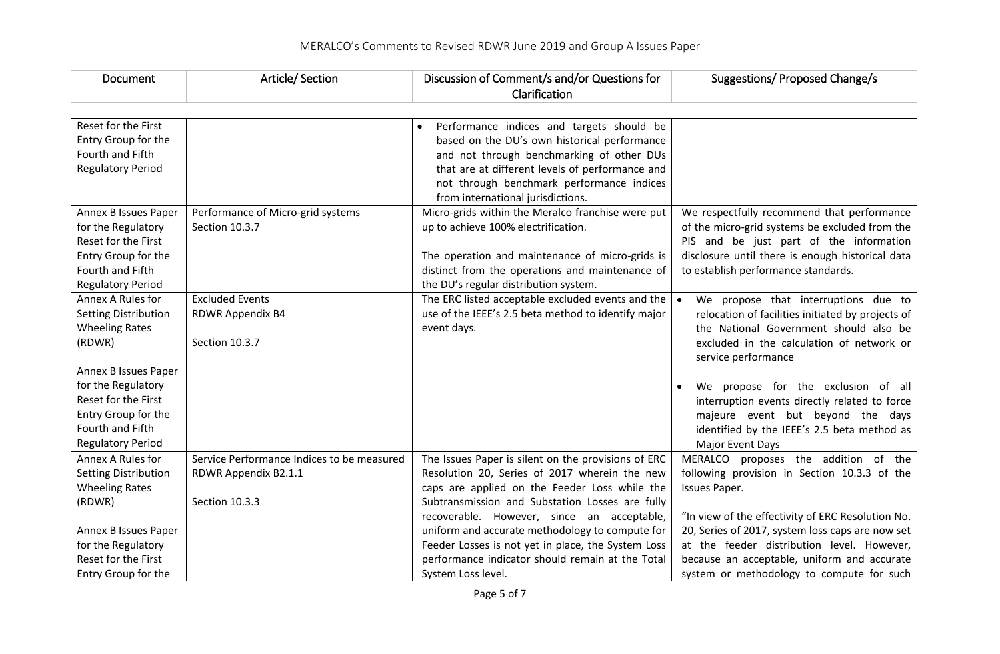| Document                                   | <b>Article/ Section</b>                             | Discussion of Comment/s and/or Questions for                                                                                      | Suggestions/ Proposed Change/s                                                               |
|--------------------------------------------|-----------------------------------------------------|-----------------------------------------------------------------------------------------------------------------------------------|----------------------------------------------------------------------------------------------|
|                                            |                                                     | Clarification                                                                                                                     |                                                                                              |
| Reset for the First<br>Entry Group for the |                                                     | Performance indices and targets should be<br>based on the DU's own historical performance                                         |                                                                                              |
| Fourth and Fifth                           |                                                     | and not through benchmarking of other DUs                                                                                         |                                                                                              |
| <b>Regulatory Period</b>                   |                                                     | that are at different levels of performance and<br>not through benchmark performance indices<br>from international jurisdictions. |                                                                                              |
| Annex B Issues Paper<br>for the Regulatory | Performance of Micro-grid systems<br>Section 10.3.7 | Micro-grids within the Meralco franchise were put<br>up to achieve 100% electrification.                                          | We respectfully recommend that performance<br>of the micro-grid systems be excluded from the |
| Reset for the First                        |                                                     |                                                                                                                                   | PIS and be just part of the information                                                      |
| Entry Group for the                        |                                                     | The operation and maintenance of micro-grids is                                                                                   | disclosure until there is enough historical data                                             |
| Fourth and Fifth                           |                                                     | distinct from the operations and maintenance of                                                                                   | to establish performance standards.                                                          |
| <b>Regulatory Period</b>                   |                                                     | the DU's regular distribution system.                                                                                             |                                                                                              |
| Annex A Rules for                          | <b>Excluded Events</b>                              | The ERC listed acceptable excluded events and the $\vert \bullet \vert$                                                           | We propose that interruptions due to                                                         |
| <b>Setting Distribution</b>                | RDWR Appendix B4                                    | use of the IEEE's 2.5 beta method to identify major                                                                               | relocation of facilities initiated by projects of                                            |
| <b>Wheeling Rates</b><br>(RDWR)            | Section 10.3.7                                      | event days.                                                                                                                       | the National Government should also be<br>excluded in the calculation of network or          |
|                                            |                                                     |                                                                                                                                   | service performance                                                                          |
| Annex B Issues Paper                       |                                                     |                                                                                                                                   |                                                                                              |
| for the Regulatory                         |                                                     |                                                                                                                                   | We propose for the exclusion of all                                                          |
| Reset for the First                        |                                                     |                                                                                                                                   | interruption events directly related to force                                                |
| Entry Group for the                        |                                                     |                                                                                                                                   | majeure event but beyond the days                                                            |
| Fourth and Fifth                           |                                                     |                                                                                                                                   | identified by the IEEE's 2.5 beta method as                                                  |
| <b>Regulatory Period</b>                   |                                                     |                                                                                                                                   | Major Event Days                                                                             |
| Annex A Rules for                          | Service Performance Indices to be measured          | The Issues Paper is silent on the provisions of ERC                                                                               | MERALCO proposes the addition of the                                                         |
| <b>Setting Distribution</b>                | RDWR Appendix B2.1.1                                | Resolution 20, Series of 2017 wherein the new                                                                                     | following provision in Section 10.3.3 of the                                                 |
| <b>Wheeling Rates</b>                      |                                                     | caps are applied on the Feeder Loss while the                                                                                     | Issues Paper.                                                                                |
| (RDWR)                                     | Section 10.3.3                                      | Subtransmission and Substation Losses are fully<br>recoverable. However, since an acceptable,                                     | "In view of the effectivity of ERC Resolution No.                                            |
| Annex B Issues Paper                       |                                                     | uniform and accurate methodology to compute for                                                                                   | 20, Series of 2017, system loss caps are now set                                             |
| for the Regulatory                         |                                                     | Feeder Losses is not yet in place, the System Loss                                                                                | at the feeder distribution level. However,                                                   |
| Reset for the First                        |                                                     | performance indicator should remain at the Total                                                                                  | because an acceptable, uniform and accurate                                                  |
| Entry Group for the                        |                                                     | System Loss level.                                                                                                                | system or methodology to compute for such                                                    |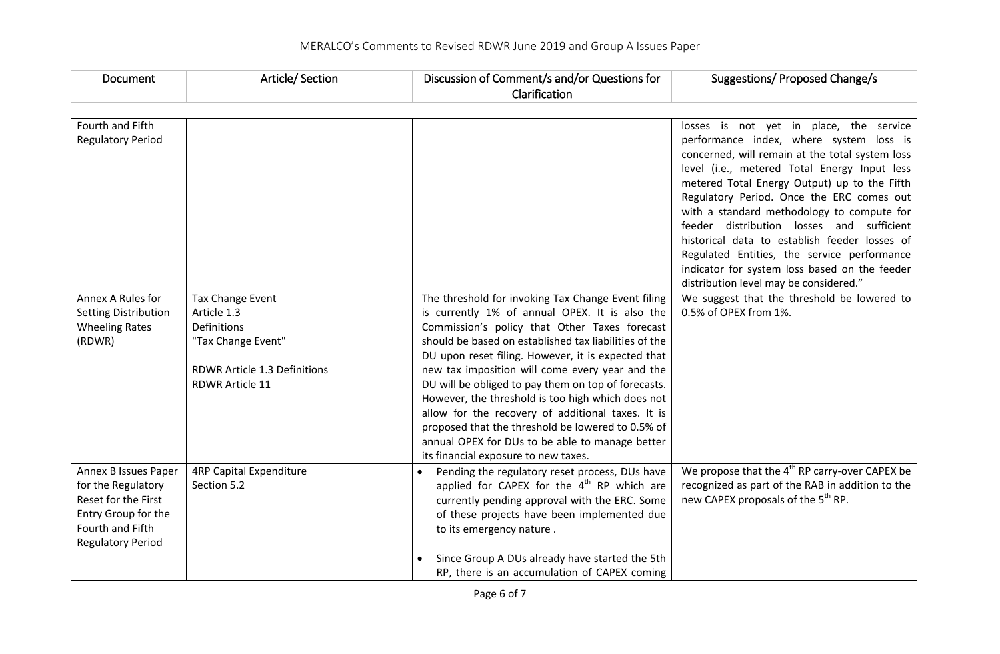| Document                    | Article/Section                | Discussion of Comment/s and/or Questions for                                                   | Suggestions/ Proposed Change/s                                                          |
|-----------------------------|--------------------------------|------------------------------------------------------------------------------------------------|-----------------------------------------------------------------------------------------|
|                             |                                | Clarification                                                                                  |                                                                                         |
|                             |                                |                                                                                                |                                                                                         |
| Fourth and Fifth            |                                |                                                                                                | losses is not yet in place, the service                                                 |
| <b>Regulatory Period</b>    |                                |                                                                                                | performance index, where system loss is                                                 |
|                             |                                |                                                                                                | concerned, will remain at the total system loss                                         |
|                             |                                |                                                                                                | level (i.e., metered Total Energy Input less                                            |
|                             |                                |                                                                                                | metered Total Energy Output) up to the Fifth                                            |
|                             |                                |                                                                                                | Regulatory Period. Once the ERC comes out                                               |
|                             |                                |                                                                                                | with a standard methodology to compute for<br>feeder distribution losses and sufficient |
|                             |                                |                                                                                                | historical data to establish feeder losses of                                           |
|                             |                                |                                                                                                | Regulated Entities, the service performance                                             |
|                             |                                |                                                                                                | indicator for system loss based on the feeder                                           |
|                             |                                |                                                                                                | distribution level may be considered."                                                  |
| Annex A Rules for           | Tax Change Event               | The threshold for invoking Tax Change Event filing                                             | We suggest that the threshold be lowered to                                             |
| <b>Setting Distribution</b> | Article 1.3                    | is currently 1% of annual OPEX. It is also the                                                 | 0.5% of OPEX from 1%.                                                                   |
| <b>Wheeling Rates</b>       | <b>Definitions</b>             | Commission's policy that Other Taxes forecast                                                  |                                                                                         |
| (RDWR)                      | "Tax Change Event"             | should be based on established tax liabilities of the                                          |                                                                                         |
|                             |                                | DU upon reset filing. However, it is expected that                                             |                                                                                         |
|                             | RDWR Article 1.3 Definitions   | new tax imposition will come every year and the                                                |                                                                                         |
|                             | <b>RDWR Article 11</b>         | DU will be obliged to pay them on top of forecasts.                                            |                                                                                         |
|                             |                                | However, the threshold is too high which does not                                              |                                                                                         |
|                             |                                | allow for the recovery of additional taxes. It is                                              |                                                                                         |
|                             |                                | proposed that the threshold be lowered to 0.5% of                                              |                                                                                         |
|                             |                                | annual OPEX for DUs to be able to manage better<br>its financial exposure to new taxes.        |                                                                                         |
| Annex B Issues Paper        | <b>4RP Capital Expenditure</b> |                                                                                                | We propose that the 4 <sup>th</sup> RP carry-over CAPEX be                              |
| for the Regulatory          | Section 5.2                    | Pending the regulatory reset process, DUs have<br>applied for CAPEX for the $4th$ RP which are | recognized as part of the RAB in addition to the                                        |
| Reset for the First         |                                | currently pending approval with the ERC. Some                                                  | new CAPEX proposals of the 5 <sup>th</sup> RP.                                          |
| Entry Group for the         |                                | of these projects have been implemented due                                                    |                                                                                         |
| Fourth and Fifth            |                                | to its emergency nature.                                                                       |                                                                                         |
| <b>Regulatory Period</b>    |                                |                                                                                                |                                                                                         |
|                             |                                | Since Group A DUs already have started the 5th                                                 |                                                                                         |
|                             |                                | RP, there is an accumulation of CAPEX coming                                                   |                                                                                         |